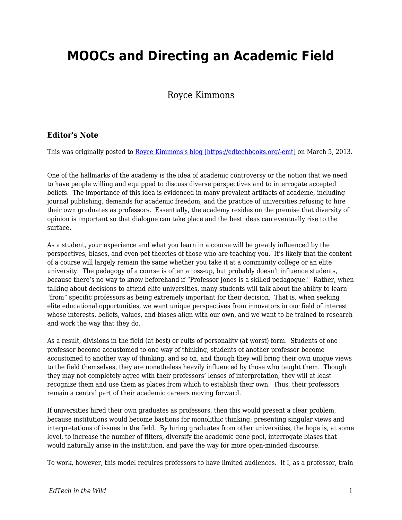## **MOOCs and Directing an Academic Field**

## Royce Kimmons

## **Editor's Note**

This was originally posted to [Royce Kimmons's blog \[https://edtechbooks.org/-emt\]](http://blog.roycekimmons.com/post/44658259580/moocs-and-directing-an-academic-field) on March 5, 2013.

One of the hallmarks of the academy is the idea of academic controversy or the notion that we need to have people willing and equipped to discuss diverse perspectives and to interrogate accepted beliefs. The importance of this idea is evidenced in many prevalent artifacts of academe, including journal publishing, demands for academic freedom, and the practice of universities refusing to hire their own graduates as professors. Essentially, the academy resides on the premise that diversity of opinion is important so that dialogue can take place and the best ideas can eventually rise to the surface.

As a student, your experience and what you learn in a course will be greatly influenced by the perspectives, biases, and even pet theories of those who are teaching you. It's likely that the content of a course will largely remain the same whether you take it at a community college or an elite university. The pedagogy of a course is often a toss-up, but probably doesn't influence students, because there's no way to know beforehand if "Professor Jones is a skilled pedagogue." Rather, when talking about decisions to attend elite universities, many students will talk about the ability to learn "from" specific professors as being extremely important for their decision. That is, when seeking elite educational opportunities, we want unique perspectives from innovators in our field of interest whose interests, beliefs, values, and biases align with our own, and we want to be trained to research and work the way that they do.

As a result, divisions in the field (at best) or cults of personality (at worst) form. Students of one professor become accustomed to one way of thinking, students of another professor become accustomed to another way of thinking, and so on, and though they will bring their own unique views to the field themselves, they are nonetheless heavily influenced by those who taught them. Though they may not completely agree with their professors' lenses of interpretation, they will at least recognize them and use them as places from which to establish their own. Thus, their professors remain a central part of their academic careers moving forward.

If universities hired their own graduates as professors, then this would present a clear problem, because institutions would become bastions for monolithic thinking: presenting singular views and interpretations of issues in the field. By hiring graduates from other universities, the hope is, at some level, to increase the number of filters, diversify the academic gene pool, interrogate biases that would naturally arise in the institution, and pave the way for more open-minded discourse.

To work, however, this model requires professors to have limited audiences. If I, as a professor, train